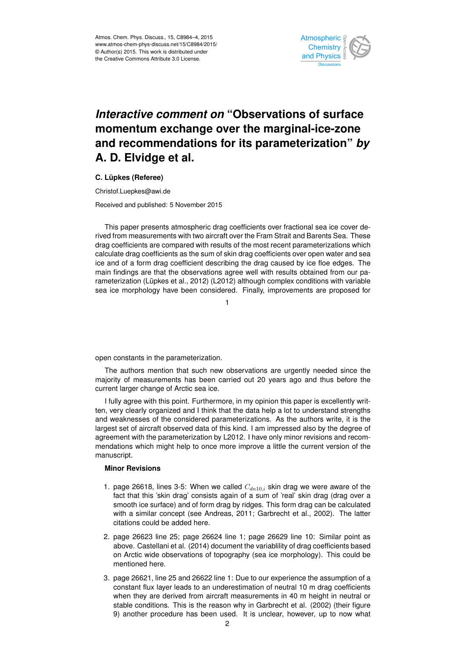

## *Interactive comment on* **"Observations of surface momentum exchange over the marginal-ice-zone and recommendations for its parameterization"** *by* **A. D. Elvidge et al.**

**C. Lüpkes (Referee)**

Christof.Luepkes@awi.de

Received and published: 5 November 2015

This paper presents atmospheric drag coefficients over fractional sea ice cover derived from measurements with two aircraft over the Fram Strait and Barents Sea. These drag coefficients are compared with results of the most recent parameterizations which calculate drag coefficients as the sum of skin drag coefficients over open water and sea ice and of a form drag coefficient describing the drag caused by ice floe edges. The main findings are that the observations agree well with results obtained from our parameterization (Lüpkes et al., 2012) (L2012) although complex conditions with variable sea ice morphology have been considered. Finally, improvements are proposed for

1

open constants in the parameterization.

The authors mention that such new observations are urgently needed since the majority of measurements has been carried out 20 years ago and thus before the current larger change of Arctic sea ice.

I fully agree with this point. Furthermore, in my opinion this paper is excellently written, very clearly organized and I think that the data help a lot to understand strengths and weaknesses of the considered parameterizations. As the authors write, it is the largest set of aircraft observed data of this kind. I am impressed also by the degree of agreement with the parameterization by L2012. I have only minor revisions and recommendations which might help to once more improve a little the current version of the manuscript.

## **Minor Revisions**

- 1. page 26618, lines 3-5: When we called  $C_{dn10,i}$  skin drag we were aware of the fact that this 'skin drag' consists again of a sum of 'real' skin drag (drag over a smooth ice surface) and of form drag by ridges. This form drag can be calculated with a similar concept (see Andreas, 2011; Garbrecht et al., 2002). The latter citations could be added here.
- 2. page 26623 line 25; page 26624 line 1; page 26629 line 10: Similar point as above. Castellani et al. (2014) document the variablility of drag coefficients based on Arctic wide observations of topography (sea ice morphology). This could be mentioned here.
- 3. page 26621, line 25 and 26622 line 1: Due to our experience the assumption of a constant flux layer leads to an underestimation of neutral 10 m drag coefficients when they are derived from aircraft measurements in 40 m height in neutral or stable conditions. This is the reason why in Garbrecht et al. (2002) (their figure 9) another procedure has been used. It is unclear, however, up to now what